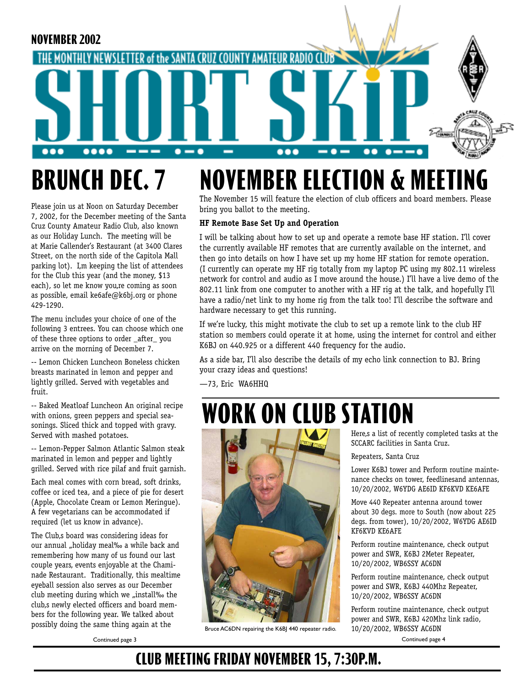

#### **NOVEMBER ELECTION & MEETING** The November 15 will feature the election of club officers and board members. Please **BRUNCH DEC. 7**

Please join us at Noon on Saturday December 7, 2002, for the December meeting of the Santa Cruz County Amateur Radio Club, also known as our Holiday Lunch. The meeting will be at Marie Callender's Restaurant (at 3400 Clares Street, on the north side of the Capitola Mall parking lot). I, m keeping the list of attendees for the Club this year (and the money, \$13 each), so let me know you, re coming as soon as possible, email ke6afe@k6bj.org or phone 429-1290.

The menu includes your choice of one of the following 3 entrees. You can choose which one of these three options to order \_after\_ you arrive on the morning of December 7.

-- Lemon Chicken Luncheon Boneless chicken breasts marinated in lemon and pepper and lightly grilled. Served with vegetables and fruit.

-- Baked Meatloaf Luncheon An original recipe with onions, green peppers and special seasonings. Sliced thick and topped with gravy. Served with mashed potatoes.

-- Lemon-Pepper Salmon Atlantic Salmon steak marinated in lemon and pepper and lightly grilled. Served with rice pilaf and fruit garnish.

Each meal comes with corn bread, soft drinks, coffee or iced tea, and a piece of pie for desert (Apple, Chocolate Cream or Lemon Meringue). A few vegetarians can be accommodated if required (let us know in advance).

The Club,s board was considering ideas for our annual "holiday meal‰ a while back and remembering how many of us found our last couple years, events enjoyable at the Chaminade Restaurant. Traditionally, this mealtime eyeball session also serves as our December club meeting during which we "install‰ the club,s newly elected officers and board members for the following year. We talked about possibly doing the same thing again at the

bring you ballot to the meeting. **HF Remote Base Set Up and Operation**

I will be talking about how to set up and operate a remote base HF station. I'll cover the currently available HF remotes that are currently available on the internet, and then go into details on how I have set up my home HF station for remote operation. (I currently can operate my HF rig totally from my laptop PC using my 802.11 wireless network for control and audio as I move around the house.) I'll have a live demo of the 802.11 link from one computer to another with a HF rig at the talk, and hopefully I'll have a radio/net link to my home rig from the talk too! I'll describe the software and hardware necessary to get this running.

If we're lucky, this might motivate the club to set up a remote link to the club HF station so members could operate it at home, using the internet for control and either K6BJ on 440.925 or a different 440 frequency for the audio.

As a side bar, I'll also describe the details of my echo link connection to BJ. Bring your crazy ideas and questions!

—73, Eric WA6HHQ

# **WORK ON CLUB STATION**



Bruce AC6DN repairing the K6BJ 440 repeater radio.

Here,s a list of recently completed tasks at the SCCARC facilities in Santa Cruz.

Repeaters, Santa Cruz

Lower K6BJ tower and Perform routine maintenance checks on tower, feedlinesand antennas, 10/20/2002, W6YDG AE6ID KF6KVD KE6AFE

Move 440 Repeater antenna around tower about 30 degs. more to South (now about 225 degs. from tower), 10/20/2002, W6YDG AE6ID KF6KVD KE6AFE

Perform routine maintenance, check output power and SWR, K6BJ 2Meter Repeater, 10/20/2002, WB6SSY AC6DN

Perform routine maintenance, check output power and SWR, K6BJ 440Mhz Repeater, 10/20/2002, WB6SSY AC6DN

Perform routine maintenance, check output power and SWR, K6BJ 420Mhz link radio,

Continued page 4

### **CLUB MEETING FRIDAY NOVEMBER 15, 7:30P.M.**

Continued page 3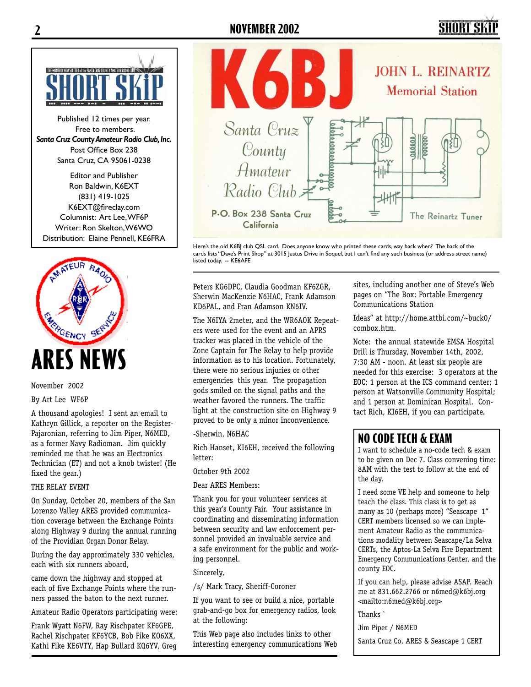#### **2 NOVEMBER 2002**

## SHART S



Published 12 times per year. Free to members. *Santa Cruz County Amateur Radio Club, Inc.* Post Office Box 238 Santa Cruz, CA 95061-0238

Editor and Publisher Ron Baldwin, K6EXT (831) 419-1025 K6EXT@fireclay.com Columnist: Art Lee, WF6P Writer: Ron Skelton, W6WO Distribution: Elaine Pennell, KE6FRA



November 2002

#### By Art Lee WF6P

A thousand apologies! I sent an email to Kathryn Gillick, a reporter on the Register-Pajaronian, referring to Jim Piper, N6MED, as a former Navy Radioman. Jim quickly reminded me that he was an Electronics Technician (ET) and not a knob twister! (He fixed the gear.)

#### THE RELAY EVENT

On Sunday, October 20, members of the San Lorenzo Valley ARES provided communication coverage between the Exchange Points along Highway 9 during the annual running of the Providian Organ Donor Relay.

During the day approximately 330 vehicles, each with six runners aboard,

came down the highway and stopped at each of five Exchange Points where the runners passed the baton to the next runner.

Amateur Radio Operators participating were:

Frank Wyatt N6FW, Ray Rischpater KF6GPE, Rachel Rischpater KF6YCB, Bob Fike KO6XX, Kathi Fike KE6VTY, Hap Bullard KQ6YV, Greg



Here's the old K6BJ club QSL card. Does anyone know who printed these cards, way back when? The back of the cards lists "Dave's Print Shop" at 3015 Justus Drive in Soquel, but I can't find any such business (or address street name) listed today. -- KE6AFE

Peters KG6DPC, Claudia Goodman KF6ZGR, Sherwin MacKenzie N6HAC, Frank Adamson KD6PAL, and Fran Adamson KN6IV.

The N6IYA 2meter, and the WR6AOK Repeaters were used for the event and an APRS tracker was placed in the vehicle of the Zone Captain for The Relay to help provide information as to his location. Fortunately, there were no serious injuries or other emergencies this year. The propagation gods smiled on the signal paths and the weather favored the runners. The traffic light at the construction site on Highway 9 proved to be only a minor inconvenience.

-Sherwin, N6HAC

Rich Hanset, KI6EH, received the following letter:

#### October 9th 2002

Dear ARES Members:

Thank you for your volunteer services at this year's County Fair. Your assistance in coordinating and disseminating information between security and law enforcement personnel provided an invaluable service and a safe environment for the public and working personnel.

Sincerely,

/s/ Mark Tracy, Sheriff-Coroner

If you want to see or build a nice, portable grab-and-go box for emergency radios, look at the following:

This Web page also includes links to other interesting emergency communications Web sites, including another one of Steve's Web pages on "The Box: Portable Emergency Communications Station

Ideas" at http://home.attbi.com/~buck0/ combox.htm.

Note: the annual statewide EMSA Hospital Drill is Thursday, November 14th, 2002, 7:30 AM - noon. At least six people are needed for this exercise: 3 operators at the EOC; 1 person at the ICS command center; 1 person at Watsonville Community Hospital; and 1 person at Dominican Hospital. Contact Rich, KI6EH, if you can participate.

### **NO CODE TECH & EXAM**

I want to schedule a no-code tech & exam to be given on Dec 7. Class convening time: 8AM with the test to follow at the end of the day.

I need some VE help and someone to help teach the class. This class is to get as many as 10 (perhaps more) "Seascape 1" CERT members licensed so we can implement Amateur Radio as the communications modality between Seascape/La Selva CERTs, the Aptos-La Selva Fire Department Emergency Communications Center, and the county EOC.

If you can help, please advise ASAP. Reach me at 831.662.2766 or n6med@k6bj.org <mailto:n6med@k6bj.org>

Thanks ˆ

Jim Piper / N6MED

Santa Cruz Co. ARES & Seascape 1 CERT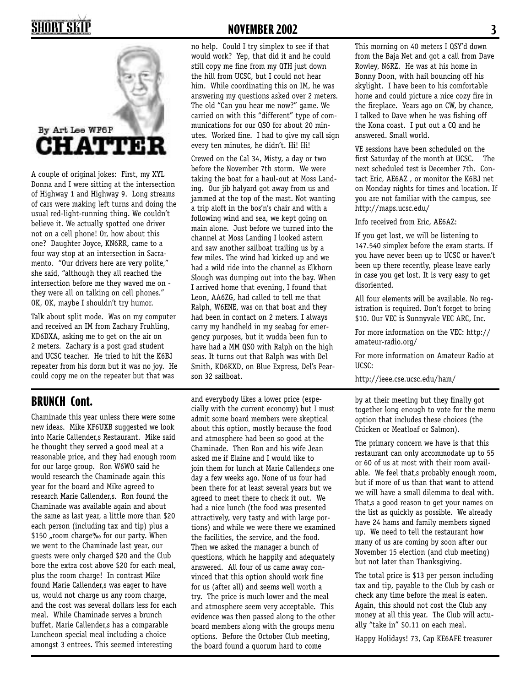# **SHORT SKII**



A couple of original jokes: First, my XYL Donna and I were sitting at the intersection of Highway 1 and Highway 9. Long streams of cars were making left turns and doing the usual red-light-running thing. We couldn't believe it. We actually spotted one driver not on a cell phone! Or, how about this one? Daughter Joyce, KN6RR, came to a four way stop at an intersection in Sacramento. "Our drivers here are very polite," she said, "although they all reached the intersection before me they waved me on they were all on talking on cell phones." OK, OK, maybe I shouldn't try humor.

Talk about split mode. Was on my computer and received an IM from Zachary Fruhling, KD6DXA, asking me to get on the air on 2 meters. Zachary is a post grad student and UCSC teacher. He tried to hit the K6BJ repeater from his dorm but it was no joy. He could copy me on the repeater but that was

Chaminade this year unless there were some new ideas. Mike KF6UXB suggested we look into Marie Callender, s Restaurant. Mike said he thought they served a good meal at a reasonable price, and they had enough room for our large group. Ron W6WO said he would research the Chaminade again this year for the board and Mike agreed to research Marie Callender, s. Ron found the Chaminade was available again and about the same as last year, a little more than \$20 each person (including tax and tip) plus a \$150 "room charge‰ for our party. When we went to the Chaminade last year, our guests were only charged \$20 and the Club bore the extra cost above \$20 for each meal, plus the room charge! In contrast Mike found Marie Callender,s was eager to have us, would not charge us any room charge, and the cost was several dollars less for each meal. While Chaminade serves a brunch buffet, Marie Callender, has a comparable Luncheon special meal including a choice amongst 3 entrees. This seemed interesting

#### **NOVEMBER 2002 3**

no help. Could I try simplex to see if that would work? Yep, that did it and he could still copy me fine from my QTH just down the hill from UCSC, but I could not hear him. While coordinating this on IM, he was answering my questions asked over 2 meters. The old "Can you hear me now?" game. We carried on with this "different" type of communications for our QSO for about 20 minutes. Worked fine. I had to give my call sign every ten minutes, he didn't. Hi! Hi!

Crewed on the Cal 34, Misty, a day or two before the November 7th storm. We were taking the boat for a haul-out at Moss Landing. Our jib halyard got away from us and jammed at the top of the mast. Not wanting a trip aloft in the bos'n's chair and with a following wind and sea, we kept going on main alone. Just before we turned into the channel at Moss Landing I looked astern and saw another sailboat trailing us by a few miles. The wind had kicked up and we had a wild ride into the channel as Elkhorn Slough was dumping out into the bay. When I arrived home that evening, I found that Leon, AA6ZG, had called to tell me that Ralph, W6ENE, was on that boat and they had been in contact on 2 meters. I always carry my handheld in my seabag for emergency purposes, but it wudda been fun to have had a MM QSO with Ralph on the high seas. It turns out that Ralph was with Del Smith, KD6KXD, on Blue Express, Del's Pearson 32 sailboat.

and everybody likes a lower price (especially with the current economy) but I must admit some board members were skeptical about this option, mostly because the food and atmosphere had been so good at the Chaminade. Then Ron and his wife Jean asked me if Elaine and I would like to join them for lunch at Marie Callender,s one day a few weeks ago. None of us four had been there for at least several years but we agreed to meet there to check it out. We had a nice lunch (the food was presented attractively, very tasty and with large portions) and while we were there we examined the facilities, the service, and the food. Then we asked the manager a bunch of questions, which he happily and adequately answered. All four of us came away convinced that this option should work fine for us (after all) and seems well worth a try. The price is much lower and the meal and atmosphere seem very acceptable. This evidence was then passed along to the other board members along with the groups menu options. Before the October Club meeting, the board found a quorum hard to come **BRUNCH Cont. by** and everybody likes a lower price (espe- by at their meeting but they finally got

This morning on 40 meters I QSY'd down from the Baja Net and got a call from Dave Rowley, N6RZ. He was at his home in Bonny Doon, with hail bouncing off his skylight. I have been to his comfortable home and could picture a nice cozy fire in the fireplace. Years ago on CW, by chance, I talked to Dave when he was fishing off the Kona coast. I put out a CQ and he answered. Small world.

VE sessions have been scheduled on the first Saturday of the month at UCSC. The next scheduled test is December 7th. Contact Eric, AE6AZ , or monitor the K6BJ net on Monday nights for times and location. If you are not familiar with the campus, see http://maps.ucsc.edu/

Info received from Eric, AE6AZ:

If you get lost, we will be listening to 147.540 simplex before the exam starts. If you have never been up to UCSC or haven't been up there recently, please leave early in case you get lost. It is very easy to get disoriented.

All four elements will be available. No registration is required. Don't forget to bring \$10. Our VEC is Sunnyvale VEC ARC, Inc.

For more information on the VEC: http:// amateur-radio.org/

For more information on Amateur Radio at UCSC:

http://ieee.cse.ucsc.edu/ham/

together long enough to vote for the menu option that includes these choices (the Chicken or Meatloaf or Salmon).

The primary concern we have is that this restaurant can only accommodate up to 55 or 60 of us at most with their room available. We feel that,s probably enough room, but if more of us than that want to attend we will have a small dilemma to deal with. That,s a good reason to get your names on the list as quickly as possible. We already have 24 hams and family members signed up. We need to tell the restaurant how many of us are coming by soon after our November 15 election (and club meeting) but not later than Thanksgiving.

The total price is \$13 per person including tax and tip, payable to the Club by cash or check any time before the meal is eaten. Again, this should not cost the Club any money at all this year. The Club will actually "take in" \$0.11 on each meal.

Happy Holidays! 73, Cap KE6AFE treasurer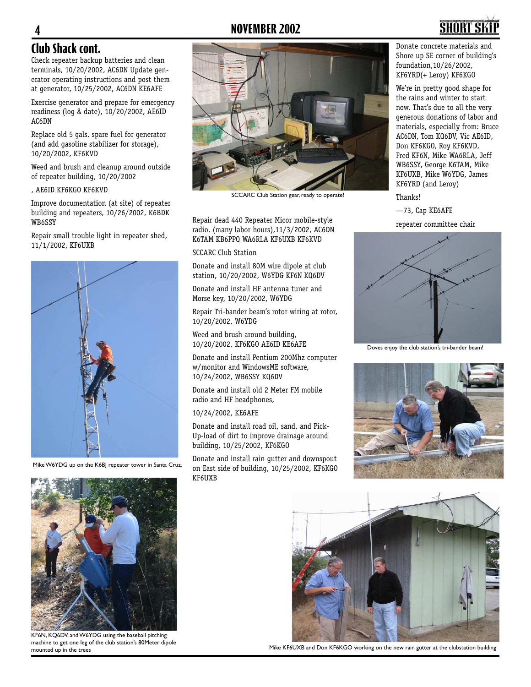#### **4 NOVEMBER 2002**



#### **Club Shack cont.**

Check repeater backup batteries and clean terminals, 10/20/2002, AC6DN Update generator operating instructions and post them at generator, 10/25/2002, AC6DN KE6AFE

Exercise generator and prepare for emergency readiness (log & date), 10/20/2002, AE6ID AC6DN

Replace old 5 gals. spare fuel for generator (and add gasoline stabilizer for storage), 10/20/2002, KF6KVD

Weed and brush and cleanup around outside of repeater building, 10/20/2002

, AE6ID KF6KGO KF6KVD

Improve documentation (at site) of repeater building and repeaters, 10/26/2002, K6BDK WB6SSY

Repair small trouble light in repeater shed, 11/1/2002, KF6UXB



Mike W6YDG up on the K6BJ repeater tower in Santa Cruz.



SCCARC Club Station gear, ready to operate!

Repair dead 440 Repeater Micor mobile-style radio. (many labor hours),11/3/2002, AC6DN K6TAM KB6PPQ WA6RLA KF6UXB KF6KVD

SCCARC Club Station

Donate and install 80M wire dipole at club station, 10/20/2002, W6YDG KF6N KQ6DV

Donate and install HF antenna tuner and Morse key, 10/20/2002, W6YDG

Repair Tri-bander beam's rotor wiring at rotor, 10/20/2002, W6YDG

Weed and brush around building, 10/20/2002, KF6KGO AE6ID KE6AFE

Donate and install Pentium 200Mhz computer w/monitor and WindowsME software, 10/24/2002, WB6SSY KQ6DV

Donate and install old 2 Meter FM mobile radio and HF headphones,

10/24/2002, KE6AFE

Donate and install road oil, sand, and Pick-Up-load of dirt to improve drainage around building, 10/25/2002, KF6KGO

Donate and install rain gutter and downspout on East side of building, 10/25/2002, KF6KGO KF6UXB

Donate concrete materials and Shore up SE corner of building's foundation,10/26/2002, KF6YRD(+ Leroy) KF6KGO

We're in pretty good shape for the rains and winter to start now. That's due to all the very generous donations of labor and materials, especially from: Bruce AC6DN, Tom KQ6DV, Vic AE6ID, Don KF6KGO, Roy KF6KVD, Fred KF6N, Mike WA6RLA, Jeff WB6SSY, George K6TAM, Mike KF6UXB, Mike W6YDG, James KF6YRD (and Leroy)

Thanks!

—73, Cap KE6AFE

repeater committee chair



Doves enjoy the club station's tri-bander beam!





KF6N, KQ6DV, and W6YDG using the baseball pitching machine to get one leg of the club station's 80Meter dipole mounted up in the trees



Mike KF6UXB and Don KF6KGO working on the new rain gutter at the clubstation building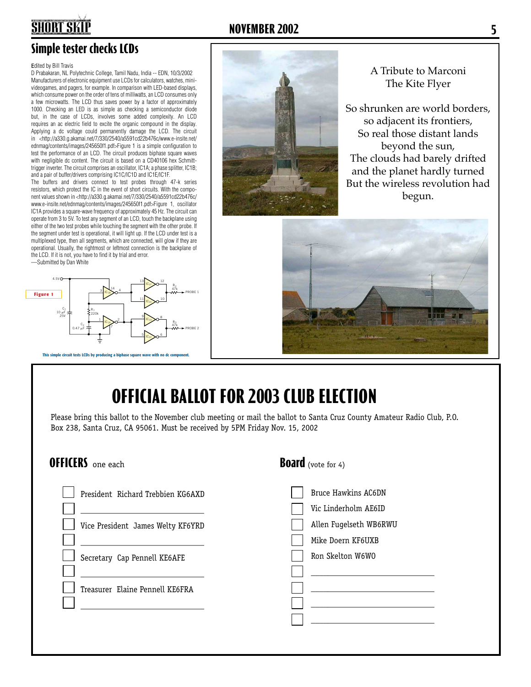### **Simple tester checks LCDs**

#### Edited by Bill Travis

**SHORT SKII** 

D Prabakaran, NL Polytechnic College, Tamil Nadu, India -- EDN, 10/3/2002 Manufacturers of electronic equipment use LCDs for calculators, watches, minivideogames, and pagers, for example. In comparison with LED-based displays, which consume power on the order of tens of milliwatts, an LCD consumes only a few microwatts. The LCD thus saves power by a factor of approximately 1000. Checking an LED is as simple as checking a semiconductor diode but, in the case of LCDs, involves some added complexity. An LCD requires an ac electric field to excite the organic compound in the display. Applying a dc voltage could permanently damage the LCD. The circuit in <http://a330.g.akamai.net/7/330/2540/a5591cd22b476c/www.e-insite.net/ ednmag/contents/images/245650f1.pdf>Figure 1 is a simple configuration to test the performance of an LCD. The circuit produces biphase square waves with negligible dc content. The circuit is based on a CD40106 hex Schmitttrigger inverter. The circuit comprises an oscillator, IC1A; a phase splitter, IC1B; and a pair of buffer/drivers comprising IC1C/IC1D and IC1E/IC1F.

The buffers and drivers connect to test probes through 47-k series resistors, which protect the IC in the event of short circuits. With the component values shown in <http://a330.g.akamai.net/7/330/2540/a5591cd22b476c/ www.e-insite.net/ednmag/contents/images/245650f1.pdf>Figure 1, oscillator IC1A provides a square-wave frequency of approximately 45 Hz. The circuit can operate from 3 to 5V. To test any segment of an LCD, touch the backplane using either of the two test probes while touching the segment with the other probe. If the segment under test is operational, it will light up. If the LCD under test is a multiplexed type, then all segments, which are connected, will glow if they are operational. Usually, the rightmost or leftmost connection is the backplane of the LCD. If it is not, you have to find it by trial and error.

—Submitted by Dan White



This simple circuit tests LCDs by producing a biphase square

#### **NOVEMBER 2002 5**



A Tribute to Marconi The Kite Flyer

So shrunken are world borders, so adjacent its frontiers. So real those distant lands beyond the sun, The clouds had barely drifted and the planet hardly turned But the wireless revolution had begun.



# **OFFICIAL BALLOT FOR 2003 CLUB ELECTION**

Please bring this ballot to the November club meeting or mail the ballot to Santa Cruz County Amateur Radio Club, P.O. Box 238, Santa Cruz, CA 95061. Must be received by 5PM Friday Nov. 15, 2002

#### **OFFICERS** one each

| President Richard Trebbien KG6AXD |
|-----------------------------------|
| Vice President James Welty KF6YRD |
|                                   |
| Secretary Cap Pennell KE6AFE      |
|                                   |
| Treasurer Elaine Pennell KE6FRA   |
|                                   |
|                                   |

#### **Board** (vote for 4)

| <b>Bruce Hawkins AC6DN</b> |
|----------------------------|
| Vic Linderholm AE6ID       |
| Allen Fugelseth WB6RWU     |
| Mike Doern KF6UXB          |
| Ron Skelton W6WO           |
|                            |
|                            |
|                            |
|                            |
|                            |